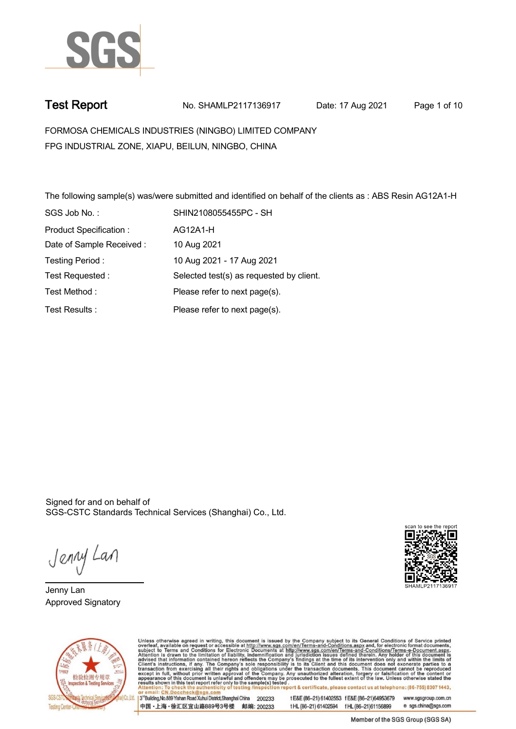

**Test Report. No. SHAMLP2117136917 Date: 17 Aug 2021. Page 1 of 10.**

**FORMOSA CHEMICALS INDUSTRIES (NINGBO) LIMITED COMPANY . FPG INDUSTRIAL ZONE, XIAPU, BEILUN, NINGBO, CHINA**

**The following sample(s) was/were submitted and identified on behalf of the clients as : ABS Resin AG12A1-H . SGS Job No. : SHIN2108055455PC - SH . Product Specification : . AG12A1-H. Date of Sample Received : . 10 Aug 2021. Testing Period :. 10 Aug 2021 - 17 Aug 2021 . Test Requested :. Selected test(s) as requested by client. . Please refer to next page(s). . Please refer to next page(s). . Test Method :. Test Results :.**

Signed for and on behalf of SGS-CSTC Standards Technical Services (Shanghai) Co., Ltd..

Jenny Lan

**Jenny Lan. Approved Signatory .**





Unless otherwise agreed in writing, this document is issued by the Company subject to its General Conditions of Service printed overleaf, available on request or accessible at http://www.sgs.com/en/Terms-and-Conditions.asp

3<sup>rd</sup> Building No.889 Yishan Road Xuhui District Shanghai China 200233 中国·上海·徐汇区宜山路889号3号楼 邮编: 200233 t E&E (86-21) 61402553 f E&E (86-21)64953679 www.sgsgroup.com.cn tHL (86-21) 61402594 fHL (86-21) 61156899 e sgs.china@sgs.com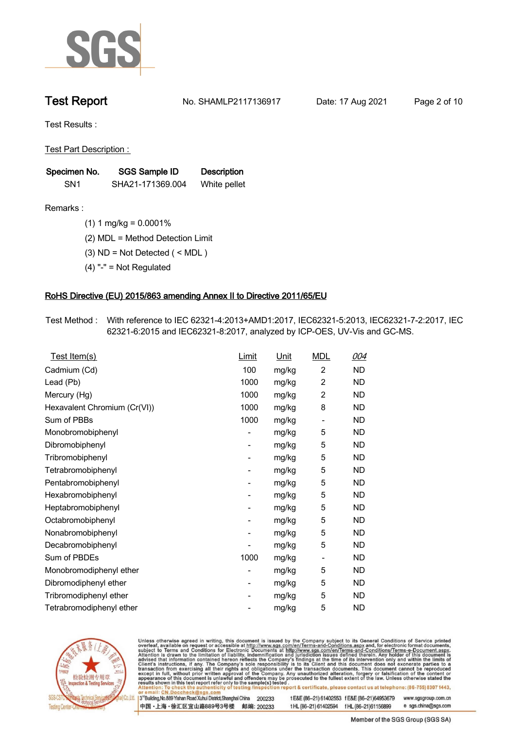

**Test Report. No. SHAMLP2117136917 Date: 17 Aug 2021. Page 2 of 10.**

**Test Results :.**

**Test Part Description : .**

| Specimen No.    | SGS Sample ID    | <b>Description</b> |
|-----------------|------------------|--------------------|
| SN <sub>1</sub> | SHA21-171369.004 | White pellet       |

- **Remarks :.(1) 1 mg/kg = 0.0001% .**
	- **(2) MDL = Method Detection Limit .**
	- **(3) ND = Not Detected ( < MDL ) .**
	- **(4) "-" = Not Regulated .**

### **RoHS Directive (EU) 2015/863 amending Annex II to Directive 2011/65/EU.**

**Test Method :. With reference to IEC 62321-4:2013+AMD1:2017, IEC62321-5:2013, IEC62321-7-2:2017, IEC 62321-6:2015 and IEC62321-8:2017, analyzed by ICP-OES, UV-Vis and GC-MS. .**

| Test Item(s)                 | Limit | <b>Unit</b> | <b>MDL</b>     | 004       |
|------------------------------|-------|-------------|----------------|-----------|
| Cadmium (Cd)                 | 100   | mg/kg       | $\overline{2}$ | ND.       |
| Lead (Pb)                    | 1000  | mg/kg       | $\overline{2}$ | <b>ND</b> |
| Mercury (Hg)                 | 1000  | mg/kg       | 2              | ND.       |
| Hexavalent Chromium (Cr(VI)) | 1000  | mg/kg       | 8              | <b>ND</b> |
| Sum of PBBs                  | 1000  | mg/kg       | $\overline{a}$ | ND        |
| Monobromobiphenyl            |       | mg/kg       | 5              | ND.       |
| Dibromobiphenyl              | -     | mg/kg       | 5              | <b>ND</b> |
| Tribromobiphenyl             |       | mg/kg       | 5              | ND        |
| Tetrabromobiphenyl           | -     | mg/kg       | 5              | <b>ND</b> |
| Pentabromobiphenyl           |       | mg/kg       | 5              | ND.       |
| Hexabromobiphenyl            | -     | mg/kg       | 5              | <b>ND</b> |
| Heptabromobiphenyl           |       | mg/kg       | 5              | <b>ND</b> |
| Octabromobiphenyl            |       | mg/kg       | 5              | ND        |
| Nonabromobiphenyl            |       | mg/kg       | 5              | ND        |
| Decabromobiphenyl            |       | mg/kg       | 5              | ND        |
| Sum of PBDEs                 | 1000  | mg/kg       | -              | <b>ND</b> |
| Monobromodiphenyl ether      |       | mg/kg       | 5              | ND        |
| Dibromodiphenyl ether        |       | mg/kg       | 5              | ND        |
| Tribromodiphenyl ether       | -     | mg/kg       | 5              | ND.       |
| Tetrabromodiphenyl ether     |       | mg/kg       | 5              | ND        |



Unless otherwise agreed in writing, this document is issued by the Company subject to its General Conditions of Service printed overleaf, available on request or accessible at http://www.sgs.com/en/Terms-and-Conditions.asp

3<sup>rd</sup> Building, No.889 Yishan Road Xuhui District, Shanghai China 200233 中国·上海·徐汇区宜山路889号3号楼 邮编: 200233 tE&E (86-21) 61402553 fE&E (86-21)64953679 www.sgsgroup.com.cn

t HL (86-21) 61402594 f HL (86-21) 61156899 e sgs.china@sgs.com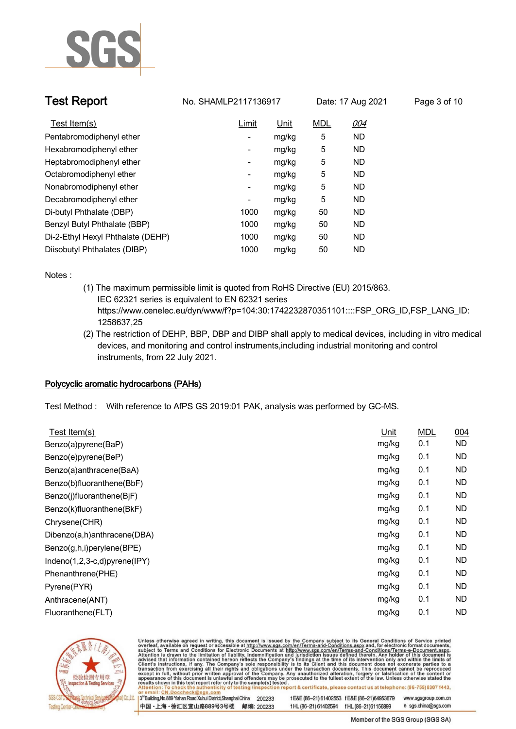

**Test Report. No. SHAMLP2117136917 Date: 17 Aug 2021. Page 3 of 10.**

| Test Item(s)                      | Limit                    | Unit  | <b>MDL</b> | 004       |
|-----------------------------------|--------------------------|-------|------------|-----------|
| Pentabromodiphenyl ether          | ٠                        | mg/kg | 5          | <b>ND</b> |
| Hexabromodiphenyl ether           |                          | mg/kg | 5          | <b>ND</b> |
| Heptabromodiphenyl ether          | ٠                        | mg/kg | 5          | <b>ND</b> |
| Octabromodiphenyl ether           |                          | mg/kg | 5          | <b>ND</b> |
| Nonabromodiphenyl ether           | -                        | mg/kg | 5          | <b>ND</b> |
| Decabromodiphenyl ether           | $\overline{\phantom{a}}$ | mg/kg | 5          | <b>ND</b> |
| Di-butyl Phthalate (DBP)          | 1000                     | mg/kg | 50         | <b>ND</b> |
| Benzyl Butyl Phthalate (BBP)      | 1000                     | mg/kg | 50         | <b>ND</b> |
| Di-2-Ethyl Hexyl Phthalate (DEHP) | 1000                     | mg/kg | 50         | <b>ND</b> |
| Diisobutyl Phthalates (DIBP)      | 1000                     | mg/kg | 50         | <b>ND</b> |

**Notes :.**

- **(1) The maximum permissible limit is quoted from RoHS Directive (EU) 2015/863. IEC 62321 series is equivalent to EN 62321 series https://www.cenelec.eu/dyn/www/f?p=104:30:1742232870351101::::FSP\_ORG\_ID,FSP\_LANG\_ID: 1258637,25**
- **(2) The restriction of DEHP, BBP, DBP and DIBP shall apply to medical devices, including in vitro medical devices, and monitoring and control instruments,including industrial monitoring and control instruments, from 22 July 2021. .**

### **Polycyclic aromatic hydrocarbons (PAHs).**

**Test Method :. With reference to AfPS GS 2019:01 PAK, analysis was performed by GC-MS. .**

| Test Item(s)                 | Unit  | <b>MDL</b> | 004       |
|------------------------------|-------|------------|-----------|
| Benzo(a)pyrene(BaP)          | mg/kg | 0.1        | <b>ND</b> |
| Benzo(e)pyrene(BeP)          | mg/kg | 0.1        | <b>ND</b> |
| Benzo(a)anthracene(BaA)      | mg/kg | 0.1        | <b>ND</b> |
| Benzo(b)fluoranthene(BbF)    | mg/kg | 0.1        | ND        |
| Benzo(j)fluoranthene(BjF)    | mg/kg | 0.1        | ND.       |
| Benzo(k)fluoranthene(BkF)    | mg/kg | 0.1        | <b>ND</b> |
| Chrysene(CHR)                | mg/kg | 0.1        | <b>ND</b> |
| Dibenzo(a,h)anthracene(DBA)  | mg/kg | 0.1        | <b>ND</b> |
| Benzo(g,h,i)perylene(BPE)    | mg/kg | 0.1        | ND        |
| Indeno(1,2,3-c,d)pyrene(IPY) | mg/kg | 0.1        | ND        |
| Phenanthrene(PHE)            | mg/kg | 0.1        | <b>ND</b> |
| Pyrene(PYR)                  | mg/kg | 0.1        | <b>ND</b> |
| Anthracene(ANT)              | mg/kg | 0.1        | <b>ND</b> |
| Fluoranthene(FLT)            | mg/kg | 0.1        | <b>ND</b> |
|                              |       |            |           |



Unless otherwise agreed in writing, this document is issued by the Company subject to its General Conditions of Service printed overleaf, available on request or accessible at http://www.sgs.com/en/Terms-and-Conditions.asp

3<sup>14</sup> Building, No.889 Yishan Road Xuhui District, Shanghai China 200233 中国·上海·徐汇区宜山路889号3号楼 邮编: 200233 t E&E (86-21) 61402553 f E&E (86-21)64953679 www.sgsgroup.com.cn

t HL (86-21) 61402594 f HL (86-21) 61156899 e sgs.china@sgs.com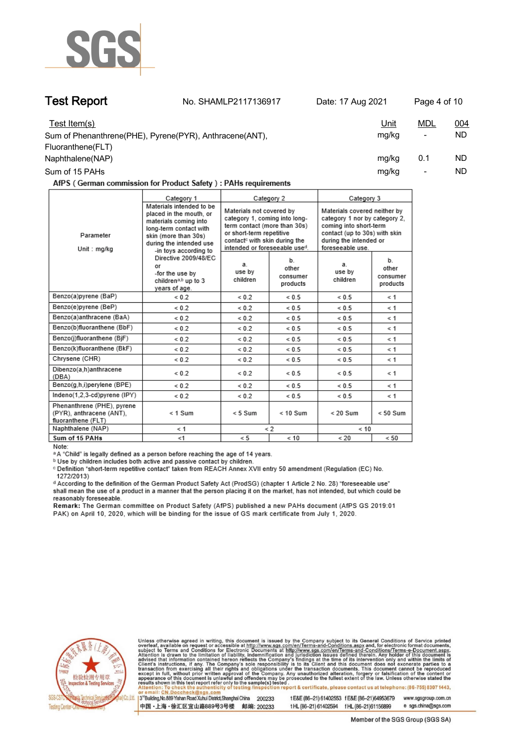

**Test Report. No. SHAMLP2117136917 Date: 17 Aug 2021. Page 4 of 10.**

| Test Item(s)<br>Sum of Phenanthrene(PHE), Pyrene(PYR), Anthracene(ANT), | <u>Unit</u><br>mg/kg | MDL<br>$\overline{\phantom{a}}$ | <u>004</u><br>ND. |
|-------------------------------------------------------------------------|----------------------|---------------------------------|-------------------|
| Fluoranthene(FLT)                                                       |                      |                                 |                   |
| Naphthalene(NAP)                                                        | mg/kg                | 0.1                             | ND.               |
| Sum of 15 PAHs                                                          | mg/kg                | $\overline{\phantom{0}}$        | ND                |

AfPS (German commission for Product Safety): PAHs requirements

|                                                                              | Category 1                                                                                                                                                                         | Category 2                                                                                                                                                                                          |                                     | Category 3                                                                                                                                                             |                                     |  |
|------------------------------------------------------------------------------|------------------------------------------------------------------------------------------------------------------------------------------------------------------------------------|-----------------------------------------------------------------------------------------------------------------------------------------------------------------------------------------------------|-------------------------------------|------------------------------------------------------------------------------------------------------------------------------------------------------------------------|-------------------------------------|--|
| Parameter<br>Unit: mg/kg                                                     | Materials intended to be<br>placed in the mouth, or<br>materials coming into<br>long-term contact with<br>skin (more than 30s)<br>during the intended use<br>-in toys according to | Materials not covered by<br>category 1, coming into long-<br>term contact (more than 30s)<br>or short-term repetitive<br>contact <sup>c</sup> with skin during the<br>intended or foreseeable used. |                                     | Materials covered neither by<br>category 1 nor by category 2.<br>coming into short-term<br>contact (up to 30s) with skin<br>during the intended or<br>foreseeable use. |                                     |  |
|                                                                              | Directive 2009/48/EC<br>or<br>-for the use by<br>children <sup>a,b</sup> up to 3<br>years of age.                                                                                  | a.<br>use by<br>children                                                                                                                                                                            | b.<br>other<br>consumer<br>products | a.<br>use by<br>children                                                                                                                                               | b.<br>other<br>consumer<br>products |  |
| Benzo(a)pyrene (BaP)                                                         | ${}_{0.2}$                                                                                                                                                                         | ${}_{0.2}$                                                                                                                                                                                          | ${}< 0.5$                           | ${}< 0.5$                                                                                                                                                              | $\leq 1$                            |  |
| Benzo(e)pyrene (BeP)                                                         | ${}_{0.2}$                                                                                                                                                                         | ${}_{0.2}$                                                                                                                                                                                          | ${}< 0.5$                           | ${}< 0.5$                                                                                                                                                              | ≺ 1                                 |  |
| Benzo(a)anthracene (BaA)                                                     | ${}_{0.2}$                                                                                                                                                                         | ${}_{0.2}$                                                                                                                                                                                          | ${}_{0.5}$                          | ${}_{0.5}$                                                                                                                                                             | $\leq 1$                            |  |
| Benzo(b)fluoranthene (BbF)                                                   | ${}_{0.2}$                                                                                                                                                                         | ${}_{0.2}$                                                                                                                                                                                          | ${}< 0.5$                           | ${}< 0.5$                                                                                                                                                              | $\leq 1$                            |  |
| Benzo(j)fluoranthene (BjF)                                                   | ${}_{0.2}$                                                                                                                                                                         | ${}< 0.2$                                                                                                                                                                                           | ${}< 0.5$                           | ${}< 0.5$                                                                                                                                                              | $\leq 1$                            |  |
| Benzo(k)fluoranthene (BkF)                                                   | ${}_{0.2}$                                                                                                                                                                         | ${}_{0.2}$                                                                                                                                                                                          | ${}_{0.5}$                          | ${}_{0.5}$                                                                                                                                                             | $\leq 1$                            |  |
| Chrysene (CHR)                                                               | ${}< 0.2$                                                                                                                                                                          | ${}_{0.2}$                                                                                                                                                                                          | ${}< 0.5$                           | ${}< 0.5$                                                                                                                                                              | $\leq 1$                            |  |
| Dibenzo(a,h)anthracene<br>(DBA)                                              | ${}_{0.2}$                                                                                                                                                                         | ${}< 0.2$                                                                                                                                                                                           | ${}< 0.5$                           | ${}< 0.5$                                                                                                                                                              | $\leq 1$                            |  |
| Benzo(g,h,i)perylene (BPE)                                                   | ${}_{0.2}$                                                                                                                                                                         | ${}< 0.2$                                                                                                                                                                                           | ${}< 0.5$                           | ${}< 0.5$                                                                                                                                                              | $\leq 1$                            |  |
| Indeno(1,2,3-cd)pyrene (IPY)                                                 | ${}_{0.2}$                                                                                                                                                                         | ${}_{0.2}$                                                                                                                                                                                          | ${}< 0.5$                           | ${}< 0.5$                                                                                                                                                              | $\leq 1$                            |  |
| Phenanthrene (PHE), pyrene<br>(PYR), anthracene (ANT),<br>fluoranthene (FLT) | $< 1$ Sum                                                                                                                                                                          | $< 5$ Sum                                                                                                                                                                                           | $< 10$ Sum                          | $< 20$ Sum                                                                                                                                                             | $< 50$ Sum                          |  |
| Naphthalene (NAP)                                                            | < 1                                                                                                                                                                                | $\lt 2$                                                                                                                                                                                             |                                     | < 10                                                                                                                                                                   |                                     |  |
| Sum of 15 PAHs                                                               | < 1                                                                                                                                                                                | < 5                                                                                                                                                                                                 | < 10                                | < 20                                                                                                                                                                   | < 50                                |  |

Note:

<sup>a</sup> A "Child" is legally defined as a person before reaching the age of 14 years.

b Use by children includes both active and passive contact by children.

c Definition "short-term repetitive contact" taken from REACH Annex XVII entry 50 amendment (Regulation (EC) No. 1272/2013)

d According to the definition of the German Product Safety Act (ProdSG) (chapter 1 Article 2 No. 28) "foreseeable use" shall mean the use of a product in a manner that the person placing it on the market, has not intended, but which could be reasonably foreseeable.

Remark: The German committee on Product Safety (AfPS) published a new PAHs document (AfPS GS 2019:01 PAK) on April 10, 2020, which will be binding for the issue of GS mark certificate from July 1, 2020.



Unless otherwise agreed in writing, this document is issued by the Company subject to its General Conditions of Service printed overleaf, available on request or accessible at http://www.sgs.com/en/Terms-and-Conditions.asp

3<sup>rd</sup> Building, No.889 Yishan Road Xuhui District, Shanghai China 200233 中国·上海·徐汇区宜山路889号3号楼 邮编: 200233

tE&E (86-21) 61402553 fE&E (86-21)64953679 www.sgsgroup.com.cn t HL (86-21) 61402594 f HL (86-21) 61156899 e sgs.china@sgs.com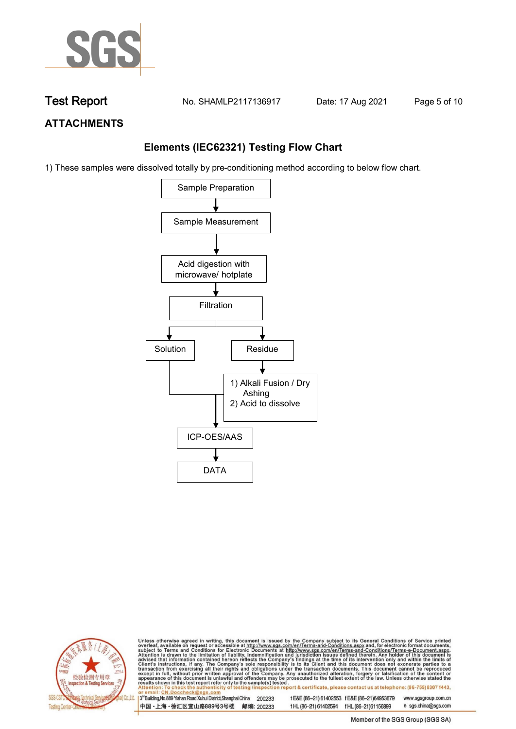

**Test Report. No. SHAMLP2117136917 Date: 17 Aug 2021. Page 5 of 10.**

## **ATTACHMENTS**

## **Elements (IEC62321) Testing Flow Chart**

1) These samples were dissolved totally by pre-conditioning method according to below flow chart.





Unless otherwise agreed in writing, this document is issued by the Company subject to its General Conditions of Service printed overleaf, available on request or accessible at http://www.sgs.com/en/Terms-and-Conditions.asp

13<sup>rd</sup> Building, No.889 Yishan Road Xuhui District, Shanghai China 200233 中国·上海·徐汇区宜山路889号3号楼 邮编: 200233 tE&E (86-21) 61402553 fE&E (86-21)64953679 www.sgsgroup.com.cn e sgs.china@sgs.com t HL (86-21) 61402594 f HL (86-21) 61156899

Member of the SGS Group (SGS SA)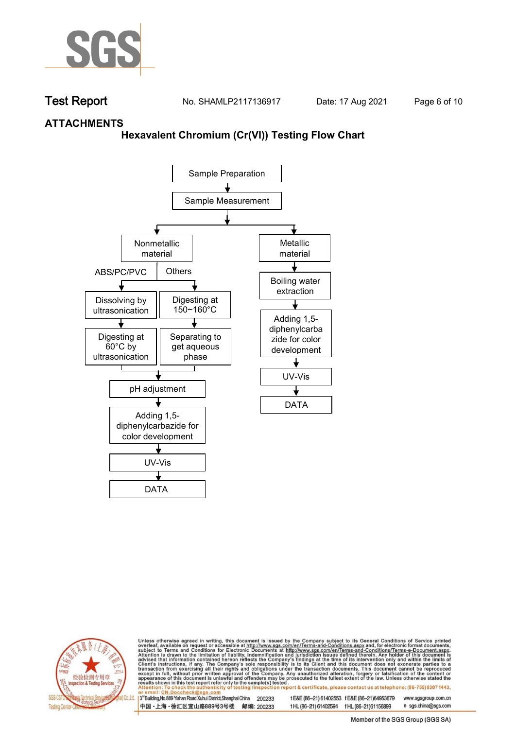

**Test Report. No. SHAMLP2117136917 Date: 17 Aug 2021. Page 6 of 10.**

## **ATTACHMENTS**

### **Hexavalent Chromium (Cr(VI)) Testing Flow Chart**





Unless otherwise agreed in writing, this document is issued by the Company subject to its General Conditions of Service printed overleaf, available on request or accessible at http://www.sgs.com/en/Terms-and-Conditions.asp

3<sup>rd</sup> Building, No.889 Yishan Road Xuhui District, Shanghai China 200233 中国·上海·徐汇区宜山路889号3号楼 邮编: 200233 tE&E (86-21) 61402553 fE&E (86-21)64953679 www.sgsgroup.com.cn

t HL (86-21) 61402594 f HL (86-21)61156899 e sgs.china@sgs.com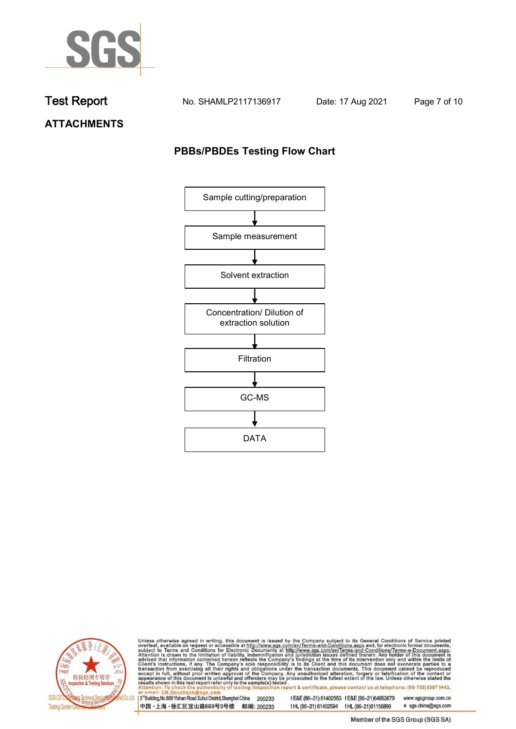

**Test Report. No. SHAMLP2117136917 Date: 17 Aug 2021. Page 7 of 10.**

**ATTACHMENTS**

## **PBBs/PBDEs Testing Flow Chart**





Unless otherwise agreed in writing, this document is issued by the Company subject to its General Conditions of Service printed overleaf, available on request or accessible at http://www.sgs.com/en/Terms-and-Conditions.asp

3<sup>'</sup>Building, No.889 Yishan Road Xuhui District, Shanghai China 200233 中国·上海·徐汇区宜山路889号3号楼 邮编: 200233

tE&E (86-21) 61402553 fE&E (86-21)64953679 www.sgsgroup.com.cn

e sgs.china@sgs.com t HL (86-21) 61402594 f HL (86-21) 61156899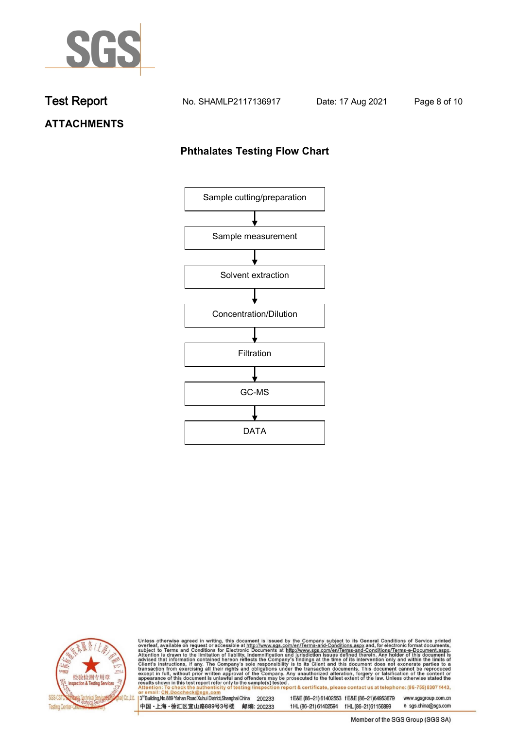

**Test Report. No. SHAMLP2117136917 Date: 17 Aug 2021. Page 8 of 10.**

## **ATTACHMENTS**

## **Phthalates Testing Flow Chart**





Unless otherwise agreed in writing, this document is issued by the Company subject to its General Conditions of Service printed overleaf, available on request or accessible at http://www.sgs.com/en/Terms-and-Conditions.asp

3<sup>'</sup>Building, No.889 Yishan Road Xuhui District, Shanghai China 200233 中国·上海·徐汇区宜山路889号3号楼 邮编: 200233

tE&E (86-21) 61402553 fE&E (86-21)64953679 www.sgsgroup.com.cn

e sgs.china@sgs.com t HL (86-21) 61402594 f HL (86-21) 61156899 Member of the SGS Group (SGS SA)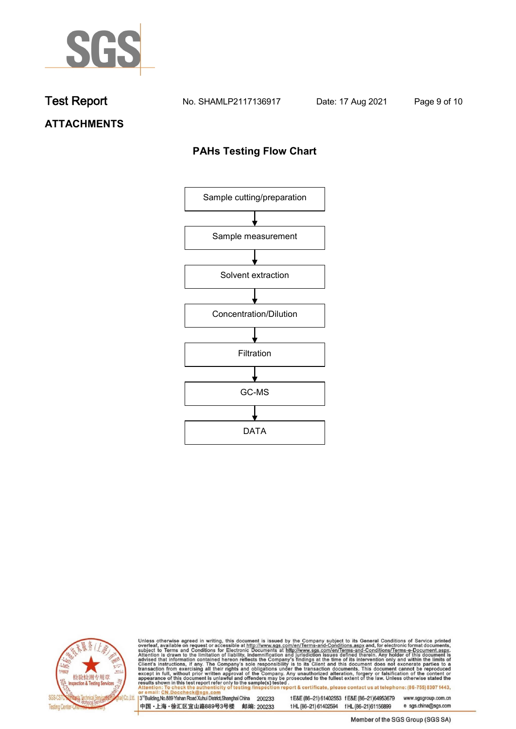

**Test Report. No. SHAMLP2117136917 Date: 17 Aug 2021. Page 9 of 10.**

# **ATTACHMENTS**

## **PAHs Testing Flow Chart**





Unless otherwise agreed in writing, this document is issued by the Company subject to its General Conditions of Service printed overleaf, available on request or accessible at http://www.sgs.com/en/Terms-and-Conditions.asp

3<sup>rd</sup>Building, No.889 Yishan Road Xuhui District, Shanghai China 200233 中国·上海·徐汇区宜山路889号3号楼 邮编: 200233

tE&E (86-21) 61402553 fE&E (86-21)64953679 www.sgsgroup.com.cn

e sgs.china@sgs.com t HL (86-21) 61402594 f HL (86-21) 61156899